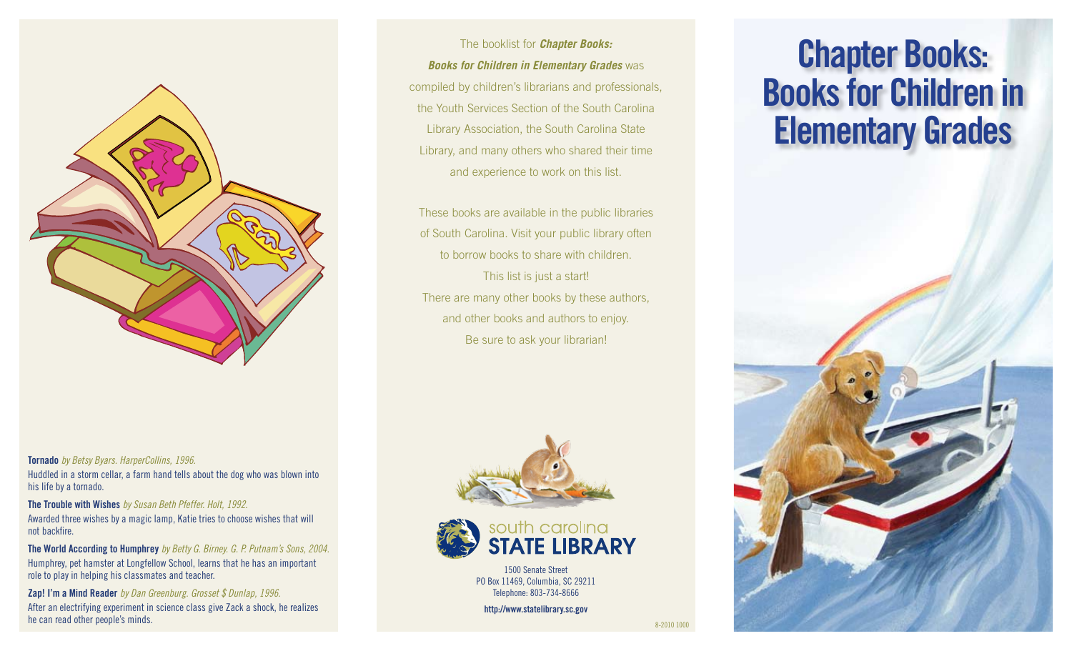

**Tornado** *by Betsy Byars. HarperCollins, 1996.*  Huddled in a storm cellar, a farm hand tells about the dog who was blown into his life by a tornado.

**The Trouble with Wishes** *by Susan Beth Pfeffer. Holt, 1992.* Awarded three wishes by a magic lamp, Katie tries to choose wishes that will not backfire.

**The World According to Humphrey** *by Betty G. Birney. G. P. Putnam's Sons, 2004.* Humphrey, pet hamster at Longfellow School, learns that he has an important role to play in helping his classmates and teacher.

**Zap! I'm a Mind Reader** *by Dan Greenburg. Grosset \$ Dunlap, 1996.*  After an electrifying experiment in science class give Zack a shock, he realizes he can read other people's minds. And the can read other people's minds.

The booklist for *Chapter Books: Books for Children in Elementary Grades* was compiled by children's librarians and professionals, the Youth Services Section of the South Carolina Library Association, the South Carolina State Library, and many others who shared their time and experience to work on this list.

These books are available in the public libraries of South Carolina. Visit your public library often to borrow books to share with children. This list is just a start! There are many other books by these authors, and other books and authors to enjoy. Be sure to ask your librarian!



1500 Senate Street PO Box 11469, Columbia, SC 29211 Telephone: 803-734-8666

**http://www.statelibrary.sc.gov**

# **Chapter Books: Books for Children in Elementary Grades**